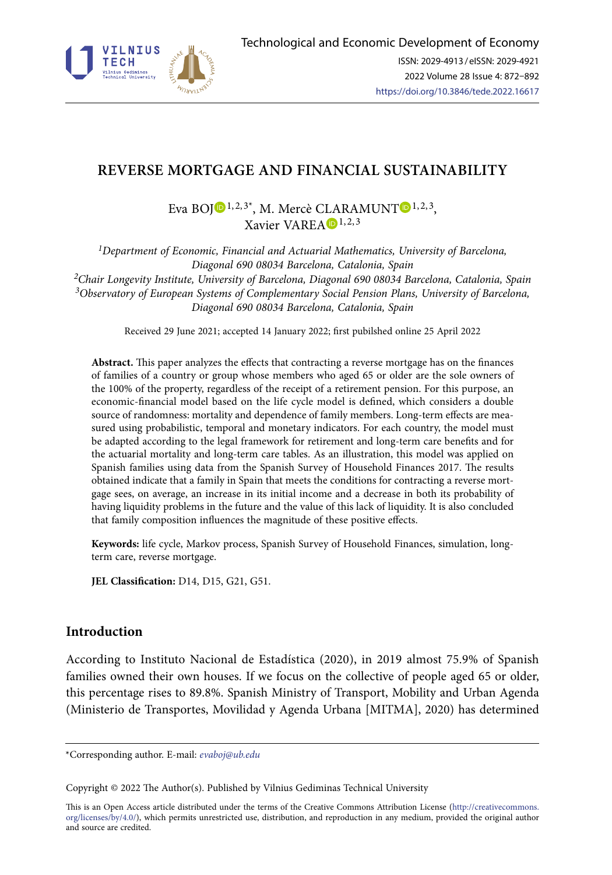

# **REVERSE MORTGAGE AND FINANCIAL SUSTAINABILITY**

Eva BO[J](https://orcid.org/0000-0002-9487-06931) $\bigcirc$ <sup>1,2,3\*</sup>, M. Mercè C[LA](https://orcid.org/0000-0002-3084-1957)RAMUNT $\bigcirc$ <sup>[1](https://orcid.org/0000-0002-5184-9106),2,3</sup>, Xavier VAREA  $\mathbf{D}^{1,2,3}$ 

*1Department of Economic, Financial and Actuarial Mathematics, University of Barcelona, Diagonal 690 08034 Barcelona, Catalonia, Spain 2Chair Longevity Institute, University of Barcelona, Diagonal 690 08034 Barcelona, Catalonia, Spain 3Observatory of European Systems of Complementary Social Pension Plans, University of Barcelona, Diagonal 690 08034 Barcelona, Catalonia, Spain*

Received 29 June 2021; accepted 14 January 2022; first pubilshed online 25 April 2022

**Abstract.** This paper analyzes the effects that contracting a reverse mortgage has on the finances of families of a country or group whose members who aged 65 or older are the sole owners of the 100% of the property, regardless of the receipt of a retirement pension. For this purpose, an economic-financial model based on the life cycle model is defined, which considers a double source of randomness: mortality and dependence of family members. Long-term effects are measured using probabilistic, temporal and monetary indicators. For each country, the model must be adapted according to the legal framework for retirement and long-term care benefits and for the actuarial mortality and long-term care tables. As an illustration, this model was applied on Spanish families using data from the Spanish Survey of Household Finances 2017. The results obtained indicate that a family in Spain that meets the conditions for contracting a reverse mortgage sees, on average, an increase in its initial income and a decrease in both its probability of having liquidity problems in the future and the value of this lack of liquidity. It is also concluded that family composition influences the magnitude of these positive effects.

**Keywords:** life cycle, Markov process, Spanish Survey of Household Finances, simulation, longterm care, reverse mortgage.

**JEL Classification:** D14, D15, G21, G51.

## **Introduction**

According to Instituto Nacional de Estadística (2020), in 2019 almost 75.9% of Spanish families owned their own houses. If we focus on the collective of people aged 65 or older, this percentage rises to 89.8%. Spanish Ministry of Transport, Mobility and Urban Agenda (Ministerio de Transportes, Movilidad y Agenda Urbana [MITMA], 2020) has determined

This is an Open Access article distributed under the terms of the Creative Commons Attribution License ([http://creativecommons.](http://creativecommons.org/licenses/by/4.0/) [org/licenses/by/4.0/\)](http://creativecommons.org/licenses/by/4.0/), which permits unrestricted use, distribution, and reproduction in any medium, provided the original author and source are credited.

<sup>\*</sup>Corresponding author. E-mail: *evaboj@ub.edu*

Copyright © 2022 The Author(s). Published by Vilnius Gediminas Technical University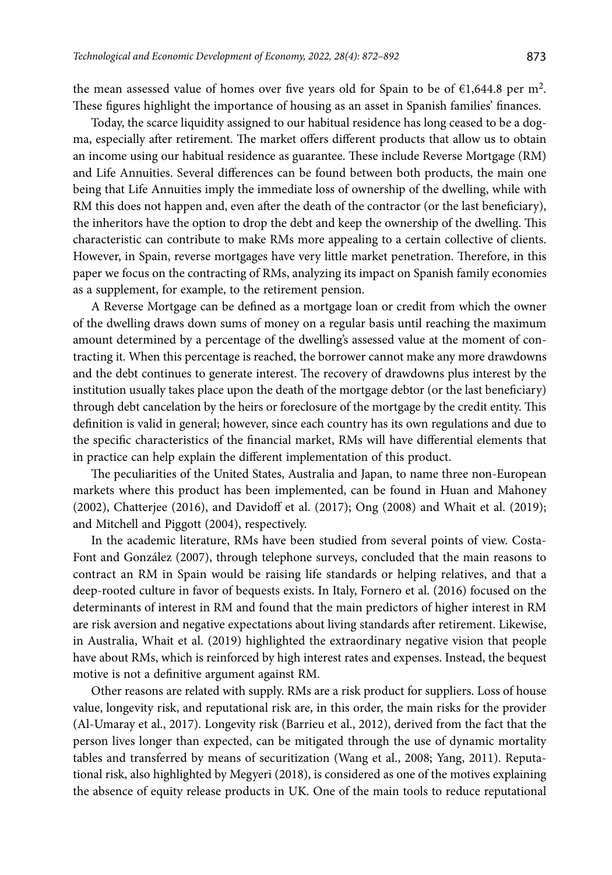the mean assessed value of homes over five years old for Spain to be of  $\epsilon$ 1,644.8 per m<sup>2</sup>. These figures highlight the importance of housing as an asset in Spanish families' finances.

Today, the scarce liquidity assigned to our habitual residence has long ceased to be a dogma, especially after retirement. The market offers different products that allow us to obtain an income using our habitual residence as guarantee. These include Reverse Mortgage (RM) and Life Annuities. Several differences can be found between both products, the main one being that Life Annuities imply the immediate loss of ownership of the dwelling, while with RM this does not happen and, even after the death of the contractor (or the last beneficiary), the inheritors have the option to drop the debt and keep the ownership of the dwelling. This characteristic can contribute to make RMs more appealing to a certain collective of clients. However, in Spain, reverse mortgages have very little market penetration. Therefore, in this paper we focus on the contracting of RMs, analyzing its impact on Spanish family economies as a supplement, for example, to the retirement pension.

A Reverse Mortgage can be defined as a mortgage loan or credit from which the owner of the dwelling draws down sums of money on a regular basis until reaching the maximum amount determined by a percentage of the dwelling's assessed value at the moment of contracting it. When this percentage is reached, the borrower cannot make any more drawdowns and the debt continues to generate interest. The recovery of drawdowns plus interest by the institution usually takes place upon the death of the mortgage debtor (or the last beneficiary) through debt cancelation by the heirs or foreclosure of the mortgage by the credit entity. This definition is valid in general; however, since each country has its own regulations and due to the specific characteristics of the financial market, RMs will have differential elements that in practice can help explain the different implementation of this product.

The peculiarities of the United States, Australia and Japan, to name three non-European markets where this product has been implemented, can be found in Huan and Mahoney (2002), Chatterjee (2016), and Davidoff et al. (2017); Ong (2008) and Whait et al. (2019); and Mitchell and Piggott (2004), respectively.

In the academic literature, RMs have been studied from several points of view. Costa-Font and González (2007), through telephone surveys, concluded that the main reasons to contract an RM in Spain would be raising life standards or helping relatives, and that a deep-rooted culture in favor of bequests exists. In Italy, Fornero et al. (2016) focused on the determinants of interest in RM and found that the main predictors of higher interest in RM are risk aversion and negative expectations about living standards after retirement. Likewise, in Australia, Whait et al. (2019) highlighted the extraordinary negative vision that people have about RMs, which is reinforced by high interest rates and expenses. Instead, the bequest motive is not a definitive argument against RM.

Other reasons are related with supply. RMs are a risk product for suppliers. Loss of house value, longevity risk, and reputational risk are, in this order, the main risks for the provider (Al-Umaray et al., 2017). Longevity risk (Barrieu et al., 2012), derived from the fact that the person lives longer than expected, can be mitigated through the use of dynamic mortality tables and transferred by means of securitization (Wang et al., 2008; Yang, 2011). Reputational risk, also highlighted by Megyeri (2018), is considered as one of the motives explaining the absence of equity release products in UK. One of the main tools to reduce reputational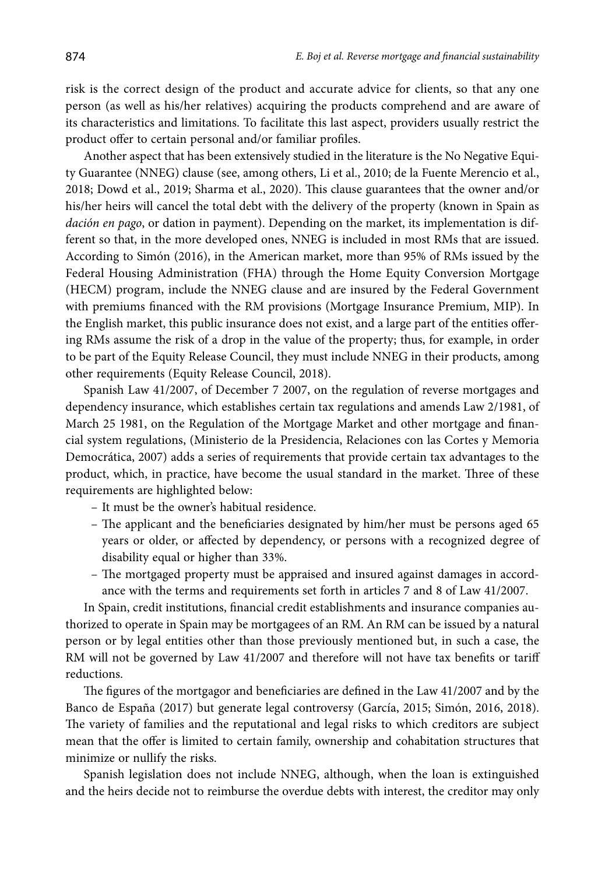risk is the correct design of the product and accurate advice for clients, so that any one person (as well as his/her relatives) acquiring the products comprehend and are aware of its characteristics and limitations. To facilitate this last aspect, providers usually restrict the product offer to certain personal and/or familiar profiles.

Another aspect that has been extensively studied in the literature is the No Negative Equity Guarantee (NNEG) clause (see, among others, Li et al., 2010; de la Fuente Merencio et al., 2018; Dowd et al., 2019; Sharma et al., 2020). This clause guarantees that the owner and/or his/her heirs will cancel the total debt with the delivery of the property (known in Spain as *dación en pago*, or dation in payment). Depending on the market, its implementation is different so that, in the more developed ones, NNEG is included in most RMs that are issued. According to Simón (2016), in the American market, more than 95% of RMs issued by the Federal Housing Administration (FHA) through the Home Equity Conversion Mortgage (HECM) program, include the NNEG clause and are insured by the Federal Government with premiums financed with the RM provisions (Mortgage Insurance Premium, MIP). In the English market, this public insurance does not exist, and a large part of the entities offering RMs assume the risk of a drop in the value of the property; thus, for example, in order to be part of the Equity Release Council, they must include NNEG in their products, among other requirements (Equity Release Council, 2018).

Spanish Law 41/2007, of December 7 2007, on the regulation of reverse mortgages and dependency insurance, which establishes certain tax regulations and amends Law 2/1981, of March 25 1981, on the Regulation of the Mortgage Market and other mortgage and financial system regulations, (Ministerio de la Presidencia, Relaciones con las Cortes y Memoria Democrática, 2007) adds a series of requirements that provide certain tax advantages to the product, which, in practice, have become the usual standard in the market. Three of these requirements are highlighted below:

– It must be the owner's habitual residence.

- The applicant and the beneficiaries designated by him/her must be persons aged 65 years or older, or affected by dependency, or persons with a recognized degree of disability equal or higher than 33%.
- The mortgaged property must be appraised and insured against damages in accordance with the terms and requirements set forth in articles 7 and 8 of Law 41/2007.

In Spain, credit institutions, financial credit establishments and insurance companies authorized to operate in Spain may be mortgagees of an RM. An RM can be issued by a natural person or by legal entities other than those previously mentioned but, in such a case, the RM will not be governed by Law 41/2007 and therefore will not have tax benefits or tariff reductions.

The figures of the mortgagor and beneficiaries are defined in the Law 41/2007 and by the Banco de España (2017) but generate legal controversy (García, 2015; Simón, 2016, 2018). The variety of families and the reputational and legal risks to which creditors are subject mean that the offer is limited to certain family, ownership and cohabitation structures that minimize or nullify the risks.

Spanish legislation does not include NNEG, although, when the loan is extinguished and the heirs decide not to reimburse the overdue debts with interest, the creditor may only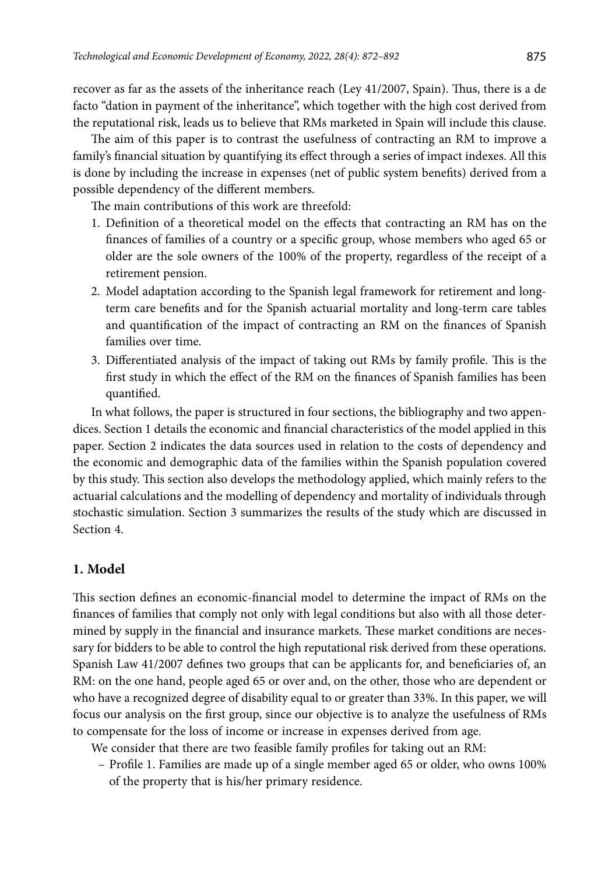recover as far as the assets of the inheritance reach (Ley 41/2007, Spain). Thus, there is a de facto "dation in payment of the inheritance", which together with the high cost derived from the reputational risk, leads us to believe that RMs marketed in Spain will include this clause.

The aim of this paper is to contrast the usefulness of contracting an RM to improve a family's financial situation by quantifying its effect through a series of impact indexes. All this is done by including the increase in expenses (net of public system benefits) derived from a possible dependency of the different members.

The main contributions of this work are threefold:

- 1. Definition of a theoretical model on the effects that contracting an RM has on the finances of families of a country or a specific group, whose members who aged 65 or older are the sole owners of the 100% of the property, regardless of the receipt of a retirement pension.
- 2. Model adaptation according to the Spanish legal framework for retirement and longterm care benefits and for the Spanish actuarial mortality and long-term care tables and quantification of the impact of contracting an RM on the finances of Spanish families over time.
- 3. Differentiated analysis of the impact of taking out RMs by family profile. This is the first study in which the effect of the RM on the finances of Spanish families has been quantified.

In what follows, the paper is structured in four sections, the bibliography and two appendices. Section 1 details the economic and financial characteristics of the model applied in this paper. Section 2 indicates the data sources used in relation to the costs of dependency and the economic and demographic data of the families within the Spanish population covered by this study. This section also develops the methodology applied, which mainly refers to the actuarial calculations and the modelling of dependency and mortality of individuals through stochastic simulation. Section 3 summarizes the results of the study which are discussed in Section 4.

### **1. Model**

This section defines an economic-financial model to determine the impact of RMs on the finances of families that comply not only with legal conditions but also with all those determined by supply in the financial and insurance markets. These market conditions are necessary for bidders to be able to control the high reputational risk derived from these operations. Spanish Law 41/2007 defines two groups that can be applicants for, and beneficiaries of, an RM: on the one hand, people aged 65 or over and, on the other, those who are dependent or who have a recognized degree of disability equal to or greater than 33%. In this paper, we will focus our analysis on the first group, since our objective is to analyze the usefulness of RMs to compensate for the loss of income or increase in expenses derived from age.

We consider that there are two feasible family profiles for taking out an RM:

– Profile 1. Families are made up of a single member aged 65 or older, who owns 100% of the property that is his/her primary residence.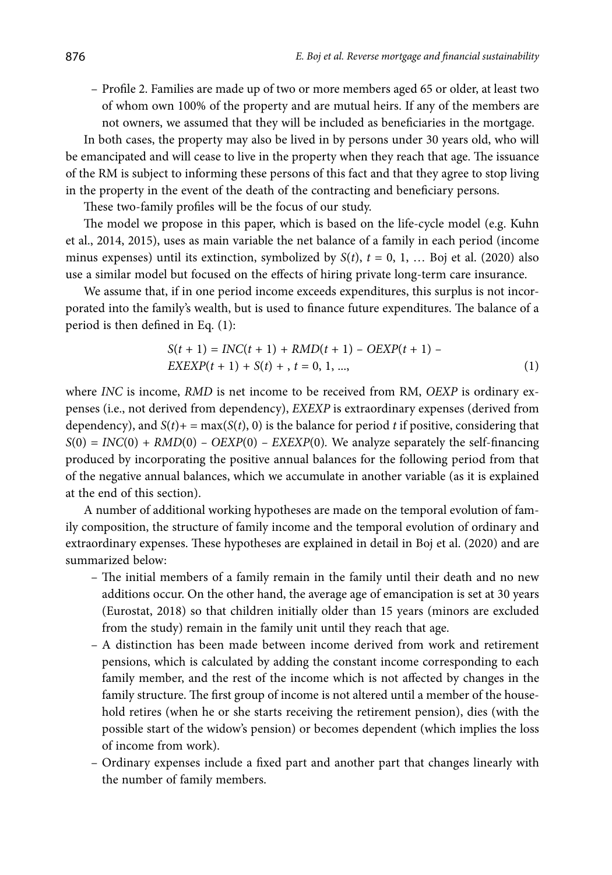– Profile 2. Families are made up of two or more members aged 65 or older, at least two of whom own 100% of the property and are mutual heirs. If any of the members are not owners, we assumed that they will be included as beneficiaries in the mortgage.

In both cases, the property may also be lived in by persons under 30 years old, who will be emancipated and will cease to live in the property when they reach that age. The issuance of the RM is subject to informing these persons of this fact and that they agree to stop living in the property in the event of the death of the contracting and beneficiary persons.

These two-family profiles will be the focus of our study.

The model we propose in this paper, which is based on the life-cycle model (e.g. Kuhn et al., 2014, 2015), uses as main variable the net balance of a family in each period (income minus expenses) until its extinction, symbolized by  $S(t)$ ,  $t = 0, 1, \ldots$  Boj et al. (2020) also use a similar model but focused on the effects of hiring private long-term care insurance.

We assume that, if in one period income exceeds expenditures, this surplus is not incorporated into the family's wealth, but is used to finance future expenditures. The balance of a period is then defined in Eq. (1):

$$
S(t + 1) = INC(t + 1) + RMD(t + 1) - OEXP(t + 1) -
$$
  
EXEXP(t + 1) + S(t) + , t = 0, 1, ..., (1)

where *INC* is income, *RMD* is net income to be received from RM, *OEXP* is ordinary expenses (i.e., not derived from dependency), *EXEXP* is extraordinary expenses (derived from dependency), and  $S(t)$  + = max( $S(t)$ , 0) is the balance for period *t* if positive, considering that  $S(0) = INC(0) + RMD(0) - OEXP(0) - EXEXP(0)$ . We analyze separately the self-financing produced by incorporating the positive annual balances for the following period from that of the negative annual balances, which we accumulate in another variable (as it is explained at the end of this section).

A number of additional working hypotheses are made on the temporal evolution of family composition, the structure of family income and the temporal evolution of ordinary and extraordinary expenses. These hypotheses are explained in detail in Boj et al. (2020) and are summarized below:

- The initial members of a family remain in the family until their death and no new additions occur. On the other hand, the average age of emancipation is set at 30 years (Eurostat, 2018) so that children initially older than 15 years (minors are excluded from the study) remain in the family unit until they reach that age.
- A distinction has been made between income derived from work and retirement pensions, which is calculated by adding the constant income corresponding to each family member, and the rest of the income which is not affected by changes in the family structure. The first group of income is not altered until a member of the household retires (when he or she starts receiving the retirement pension), dies (with the possible start of the widow's pension) or becomes dependent (which implies the loss of income from work).
- Ordinary expenses include a fixed part and another part that changes linearly with the number of family members.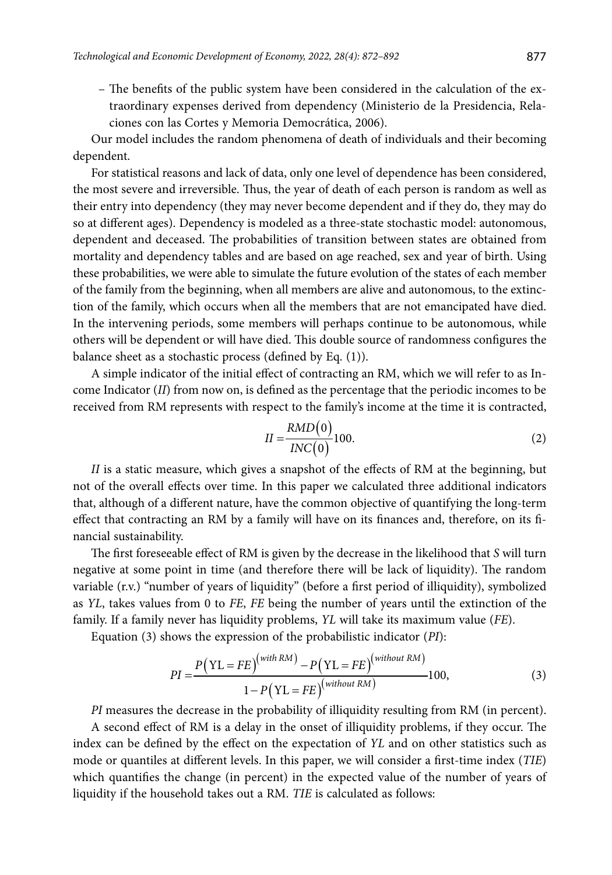– The benefits of the public system have been considered in the calculation of the extraordinary expenses derived from dependency (Ministerio de la Presidencia, Relaciones con las Cortes y Memoria Democrática, 2006).

Our model includes the random phenomena of death of individuals and their becoming dependent.

For statistical reasons and lack of data, only one level of dependence has been considered, the most severe and irreversible. Thus, the year of death of each person is random as well as their entry into dependency (they may never become dependent and if they do, they may do so at different ages). Dependency is modeled as a three-state stochastic model: autonomous, dependent and deceased. The probabilities of transition between states are obtained from mortality and dependency tables and are based on age reached, sex and year of birth. Using these probabilities, we were able to simulate the future evolution of the states of each member of the family from the beginning, when all members are alive and autonomous, to the extinction of the family, which occurs when all the members that are not emancipated have died. In the intervening periods, some members will perhaps continue to be autonomous, while others will be dependent or will have died. This double source of randomness configures the balance sheet as a stochastic process (defined by Eq. (1)).

A simple indicator of the initial effect of contracting an RM, which we will refer to as Income Indicator (*II*) from now on, is defined as the percentage that the periodic incomes to be received from RM represents with respect to the family's income at the time it is contracted,

$$
II = \frac{RMD(0)}{INC(0)} 100.
$$
 (2)

*II* is a static measure, which gives a snapshot of the effects of RM at the beginning, but not of the overall effects over time. In this paper we calculated three additional indicators that, although of a different nature, have the common objective of quantifying the long-term effect that contracting an RM by a family will have on its finances and, therefore, on its financial sustainability.

The first foreseeable effect of RM is given by the decrease in the likelihood that *S* will turn negative at some point in time (and therefore there will be lack of liquidity). The random variable (r.v.) "number of years of liquidity" (before a first period of illiquidity), symbolized as *YL*, takes values from 0 to *FE*, *FE* being the number of years until the extinction of the family. If a family never has liquidity problems, *YL* will take its maximum value (*FE*).

Equation (3) shows the expression of the probabilistic indicator (*PI*):

$$
PI = \frac{P(YL = FE)^{(with RM)} - P(YL = FE)^{(without RM)}}{1 - P(YL = FE)^{(without RM)}} 100,
$$
\n(3)

*PI* measures the decrease in the probability of illiquidity resulting from RM (in percent).

A second effect of RM is a delay in the onset of illiquidity problems, if they occur. The index can be defined by the effect on the expectation of *YL* and on other statistics such as mode or quantiles at different levels. In this paper, we will consider a first-time index (*TIE*) which quantifies the change (in percent) in the expected value of the number of years of liquidity if the household takes out a RM. *TIE* is calculated as follows: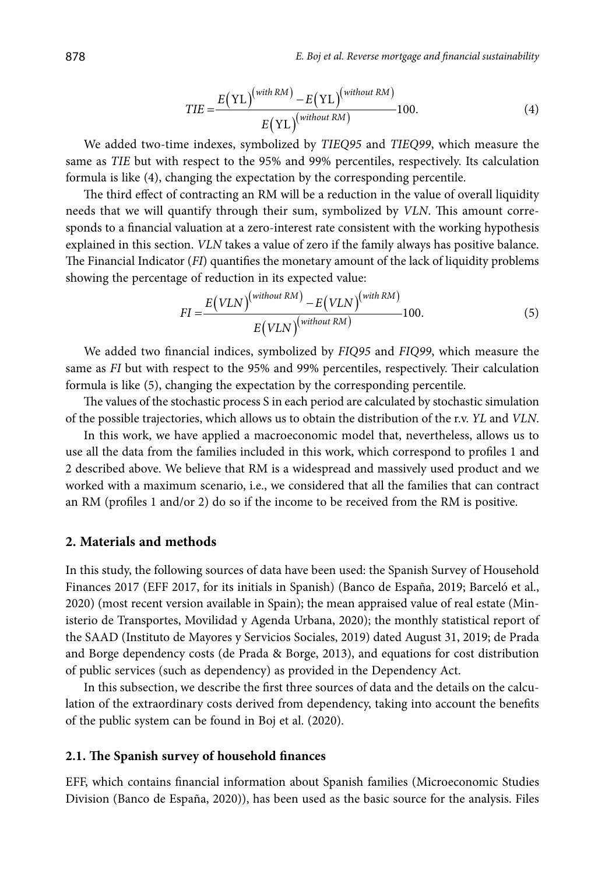$$
TIE = \frac{E(YL)^{(with RM)} - E(YL)^{(without RM)}}{E(YL)^{(without RM)}} 100.
$$
 (4)

We added two-time indexes, symbolized by *TIEQ95* and *TIEQ99*, which measure the same as *TIE* but with respect to the 95% and 99% percentiles, respectively. Its calculation formula is like (4), changing the expectation by the corresponding percentile.

The third effect of contracting an RM will be a reduction in the value of overall liquidity needs that we will quantify through their sum, symbolized by *VLN*. This amount corresponds to a financial valuation at a zero-interest rate consistent with the working hypothesis explained in this section. *VLN* takes a value of zero if the family always has positive balance. The Financial Indicator (*FI*) quantifies the monetary amount of the lack of liquidity problems showing the percentage of reduction in its expected value:

$$
FI = \frac{E(VLN)^{(without RM)} - E(VLN)^{(with RM)}}{E(VLN)^{(without RM)}} 100.
$$
\n(5)

We added two financial indices, symbolized by *FIQ95* and *FIQ99*, which measure the same as *FI* but with respect to the 95% and 99% percentiles, respectively. Their calculation formula is like (5), changing the expectation by the corresponding percentile.

The values of the stochastic process S in each period are calculated by stochastic simulation of the possible trajectories, which allows us to obtain the distribution of the r.v. *YL* and *VLN*.

In this work, we have applied a macroeconomic model that, nevertheless, allows us to use all the data from the families included in this work, which correspond to profiles 1 and 2 described above. We believe that RM is a widespread and massively used product and we worked with a maximum scenario, i.e., we considered that all the families that can contract an RM (profiles 1 and/or 2) do so if the income to be received from the RM is positive.

### **2. Materials and methods**

In this study, the following sources of data have been used: the Spanish Survey of Household Finances 2017 (EFF 2017, for its initials in Spanish) (Banco de España, 2019; Barceló et al., 2020) (most recent version available in Spain); the mean appraised value of real estate (Ministerio de Transportes, Movilidad y Agenda Urbana, 2020); the monthly statistical report of the SAAD (Instituto de Mayores y Servicios Sociales, 2019) dated August 31, 2019; de Prada and Borge dependency costs (de Prada & Borge, 2013), and equations for cost distribution of public services (such as dependency) as provided in the Dependency Act.

In this subsection, we describe the first three sources of data and the details on the calculation of the extraordinary costs derived from dependency, taking into account the benefits of the public system can be found in Boj et al. (2020).

#### **2.1. The Spanish survey of household finances**

EFF, which contains financial information about Spanish families (Microeconomic Studies Division (Banco de España, 2020)), has been used as the basic source for the analysis. Files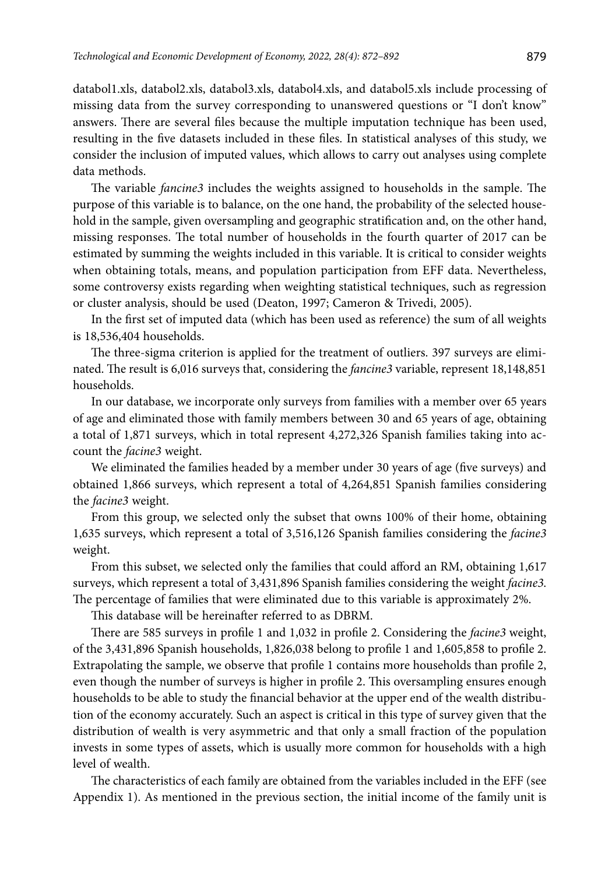databol1.xls, databol2.xls, databol3.xls, databol4.xls, and databol5.xls include processing of missing data from the survey corresponding to unanswered questions or "I don't know" answers. There are several files because the multiple imputation technique has been used, resulting in the five datasets included in these files. In statistical analyses of this study, we consider the inclusion of imputed values, which allows to carry out analyses using complete data methods.

The variable *fancine3* includes the weights assigned to households in the sample. The purpose of this variable is to balance, on the one hand, the probability of the selected household in the sample, given oversampling and geographic stratification and, on the other hand, missing responses. The total number of households in the fourth quarter of 2017 can be estimated by summing the weights included in this variable. It is critical to consider weights when obtaining totals, means, and population participation from EFF data. Nevertheless, some controversy exists regarding when weighting statistical techniques, such as regression or cluster analysis, should be used (Deaton, 1997; Cameron & Trivedi, 2005).

In the first set of imputed data (which has been used as reference) the sum of all weights is 18,536,404 households.

The three-sigma criterion is applied for the treatment of outliers. 397 surveys are eliminated. The result is 6,016 surveys that, considering the *fancine3* variable, represent 18,148,851 households.

In our database, we incorporate only surveys from families with a member over 65 years of age and eliminated those with family members between 30 and 65 years of age, obtaining a total of 1,871 surveys, which in total represent 4,272,326 Spanish families taking into account the *facine3* weight.

We eliminated the families headed by a member under 30 years of age (five surveys) and obtained 1,866 surveys, which represent a total of 4,264,851 Spanish families considering the *facine3* weight.

From this group, we selected only the subset that owns 100% of their home, obtaining 1,635 surveys, which represent a total of 3,516,126 Spanish families considering the *facine3* weight.

From this subset, we selected only the families that could afford an RM, obtaining 1,617 surveys, which represent a total of 3,431,896 Spanish families considering the weight *facine3*. The percentage of families that were eliminated due to this variable is approximately 2%.

This database will be hereinafter referred to as DBRM.

There are 585 surveys in profile 1 and 1,032 in profile 2. Considering the *facine3* weight, of the 3,431,896 Spanish households, 1,826,038 belong to profile 1 and 1,605,858 to profile 2. Extrapolating the sample, we observe that profile 1 contains more households than profile 2, even though the number of surveys is higher in profile 2. This oversampling ensures enough households to be able to study the financial behavior at the upper end of the wealth distribution of the economy accurately. Such an aspect is critical in this type of survey given that the distribution of wealth is very asymmetric and that only a small fraction of the population invests in some types of assets, which is usually more common for households with a high level of wealth.

The characteristics of each family are obtained from the variables included in the EFF (see Appendix 1). As mentioned in the previous section, the initial income of the family unit is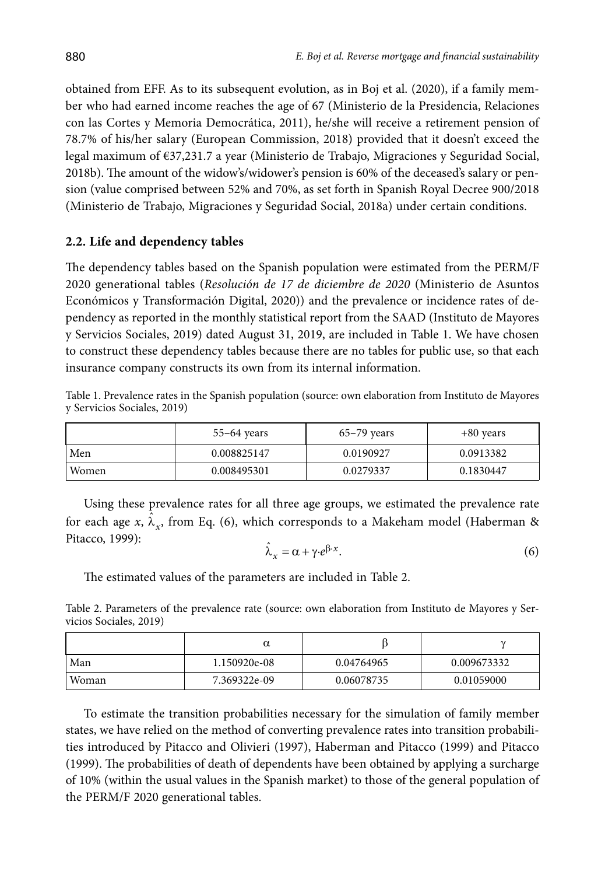obtained from EFF. As to its subsequent evolution, as in Boj et al. (2020), if a family member who had earned income reaches the age of 67 (Ministerio de la Presidencia, Relaciones con las Cortes y Memoria Democrática, 2011), he/she will receive a retirement pension of 78.7% of his/her salary (European Commission, 2018) provided that it doesn't exceed the legal maximum of €37,231.7 a year (Ministerio de Trabajo, Migraciones y Seguridad Social, 2018b). The amount of the widow's/widower's pension is 60% of the deceased's salary or pension (value comprised between 52% and 70%, as set forth in Spanish Royal Decree 900/2018 (Ministerio de Trabajo, Migraciones y Seguridad Social, 2018a) under certain conditions.

### **2.2. Life and dependency tables**

The dependency tables based on the Spanish population were estimated from the PERM/F 2020 generational tables (*Resolución de 17 de diciembre de 2020* (Ministerio de Asuntos Económicos y Transformación Digital, 2020)) and the prevalence or incidence rates of dependency as reported in the monthly statistical report from the SAAD (Instituto de Mayores y Servicios Sociales, 2019) dated August 31, 2019, are included in [Table](#page-8-0) 1. We have chosen to construct these dependency tables because there are no tables for public use, so that each insurance company constructs its own from its internal information.

<span id="page-8-0"></span>Table 1. Prevalence rates in the Spanish population (source: own elaboration from Instituto de Mayores y Servicios Sociales, 2019)

|       | $55-64$ years | $65-79$ years | $+80$ years |
|-------|---------------|---------------|-------------|
| Men   | 0.008825147   | 0.0190927     | 0.0913382   |
| Women | 0.008495301   | 0.0279337     | 0.1830447   |

Using these prevalence rates for all three age groups, we estimated the prevalence rate for each age *x*,  $\hat{\lambda}_x$ , from Eq. (6), which corresponds to a Makeham model (Haberman & Pitacco, 1999):<br> $\hat{\lambda}_x = \alpha + \gamma \cdot e^{\beta \cdot x}$ . (6)

$$
\hat{\lambda}_x = \alpha + \gamma \cdot e^{\beta \cdot x}.\tag{6}
$$

The estimated values of the parameters are included in [Table](#page-8-1) 2.

<span id="page-8-1"></span>Table 2. Parameters of the prevalence rate (source: own elaboration from Instituto de Mayores y Servicios Sociales, 2019)

| Man   | 1.150920e-08 | 0.04764965 | 0.009673332 |
|-------|--------------|------------|-------------|
| Woman | 7.369322e-09 | 0.06078735 | 0.01059000  |

To estimate the transition probabilities necessary for the simulation of family member states, we have relied on the method of converting prevalence rates into transition probabilities introduced by Pitacco and Olivieri (1997), Haberman and Pitacco (1999) and Pitacco (1999). The probabilities of death of dependents have been obtained by applying a surcharge of 10% (within the usual values in the Spanish market) to those of the general population of the PERM/F 2020 generational tables.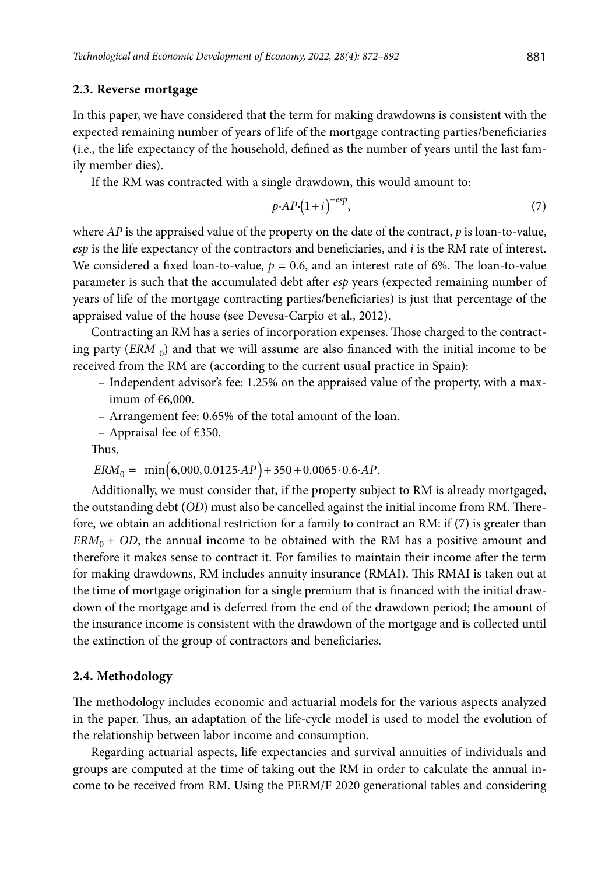#### **2.3. Reverse mortgage**

In this paper, we have considered that the term for making drawdowns is consistent with the expected remaining number of years of life of the mortgage contracting parties/beneficiaries (i.e., the life expectancy of the household, defined as the number of years until the last family member dies).

If the RM was contracted with a single drawdown, this would amount to:

$$
p \cdot AP \cdot (1+i)^{-\exp},\tag{7}
$$

where *AP* is the appraised value of the property on the date of the contract, *p* is loan-to-value, *esp* is the life expectancy of the contractors and beneficiaries, and *i* is the RM rate of interest. We considered a fixed loan-to-value,  $p = 0.6$ , and an interest rate of 6%. The loan-to-value parameter is such that the accumulated debt after *esp* years (expected remaining number of years of life of the mortgage contracting parties/beneficiaries) is just that percentage of the appraised value of the house (see Devesa-Carpio et al., 2012).

Contracting an RM has a series of incorporation expenses. Those charged to the contracting party  $\left(ERM_0\right)$  and that we will assume are also financed with the initial income to be received from the RM are (according to the current usual practice in Spain):

- Independent advisor's fee: 1.25% on the appraised value of the property, with a maximum of  $€6,000$ .
- Arrangement fee: 0.65% of the total amount of the loan.
- Appraisal fee of €350.

Thus,

$$
ERM_{0} = \min(6,000, 0.0125 \cdot AP) + 350 + 0.0065 \cdot 0.6 \cdot AP.
$$

Additionally, we must consider that, if the property subject to RM is already mortgaged, the outstanding debt (*OD*) must also be cancelled against the initial income from RM. Therefore, we obtain an additional restriction for a family to contract an RM: if (7) is greater than  $ERM<sub>0</sub> + OD$ , the annual income to be obtained with the RM has a positive amount and therefore it makes sense to contract it. For families to maintain their income after the term for making drawdowns, RM includes annuity insurance (RMAI). This RMAI is taken out at the time of mortgage origination for a single premium that is financed with the initial drawdown of the mortgage and is deferred from the end of the drawdown period; the amount of the insurance income is consistent with the drawdown of the mortgage and is collected until the extinction of the group of contractors and beneficiaries.

#### **2.4. Methodology**

The methodology includes economic and actuarial models for the various aspects analyzed in the paper. Thus, an adaptation of the life-cycle model is used to model the evolution of the relationship between labor income and consumption.

Regarding actuarial aspects, life expectancies and survival annuities of individuals and groups are computed at the time of taking out the RM in order to calculate the annual income to be received from RM. Using the PERM/F 2020 generational tables and considering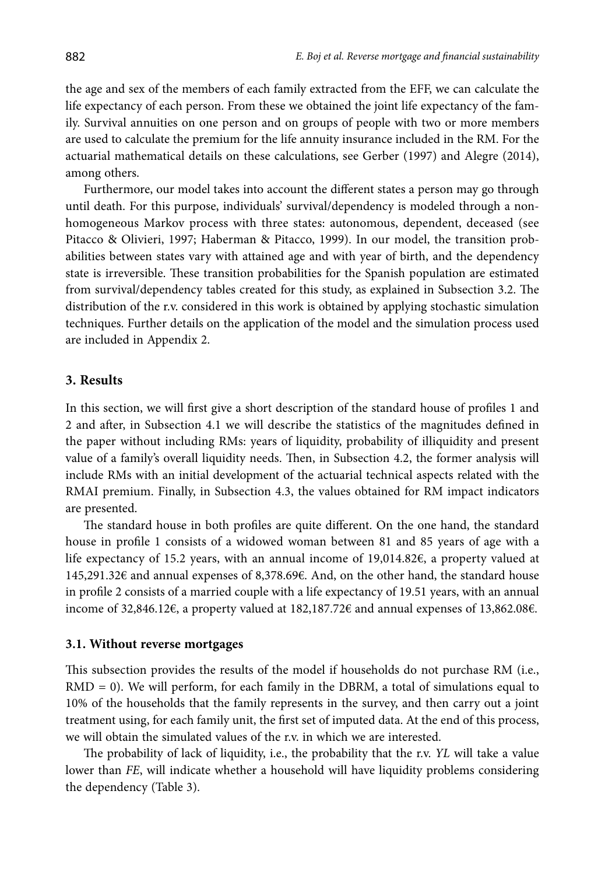the age and sex of the members of each family extracted from the EFF, we can calculate the life expectancy of each person. From these we obtained the joint life expectancy of the family. Survival annuities on one person and on groups of people with two or more members are used to calculate the premium for the life annuity insurance included in the RM. For the actuarial mathematical details on these calculations, see Gerber (1997) and Alegre (2014), among others.

Furthermore, our model takes into account the different states a person may go through until death. For this purpose, individuals' survival/dependency is modeled through a nonhomogeneous Markov process with three states: autonomous, dependent, deceased (see Pitacco & Olivieri, 1997; Haberman & Pitacco, 1999). In our model, the transition probabilities between states vary with attained age and with year of birth, and the dependency state is irreversible. These transition probabilities for the Spanish population are estimated from survival/dependency tables created for this study, as explained in Subsection 3.2. The distribution of the r.v. considered in this work is obtained by applying stochastic simulation techniques. Further details on the application of the model and the simulation process used are included in Appendix 2.

### **3. Results**

In this section, we will first give a short description of the standard house of profiles 1 and 2 and after, in Subsection 4.1 we will describe the statistics of the magnitudes defined in the paper without including RMs: years of liquidity, probability of illiquidity and present value of a family's overall liquidity needs. Then, in Subsection 4.2, the former analysis will include RMs with an initial development of the actuarial technical aspects related with the RMAI premium. Finally, in Subsection 4.3, the values obtained for RM impact indicators are presented.

The standard house in both profiles are quite different. On the one hand, the standard house in profile 1 consists of a widowed woman between 81 and 85 years of age with a life expectancy of 15.2 years, with an annual income of 19,014.82€, a property valued at 145,291.32€ and annual expenses of 8,378.69€. And, on the other hand, the standard house in profile 2 consists of a married couple with a life expectancy of 19.51 years, with an annual income of 32,846.12€, a property valued at 182,187.72€ and annual expenses of 13,862.08€.

#### **3.1. Without reverse mortgages**

This subsection provides the results of the model if households do not purchase RM (i.e.,  $RMD = 0$ ). We will perform, for each family in the DBRM, a total of simulations equal to 10% of the households that the family represents in the survey, and then carry out a joint treatment using, for each family unit, the first set of imputed data. At the end of this process, we will obtain the simulated values of the r.v. in which we are interested.

The probability of lack of liquidity, i.e., the probability that the r.v. *YL* will take a value lower than *FE*, will indicate whether a household will have liquidity problems considering the dependency [\(Table](#page-11-0) 3).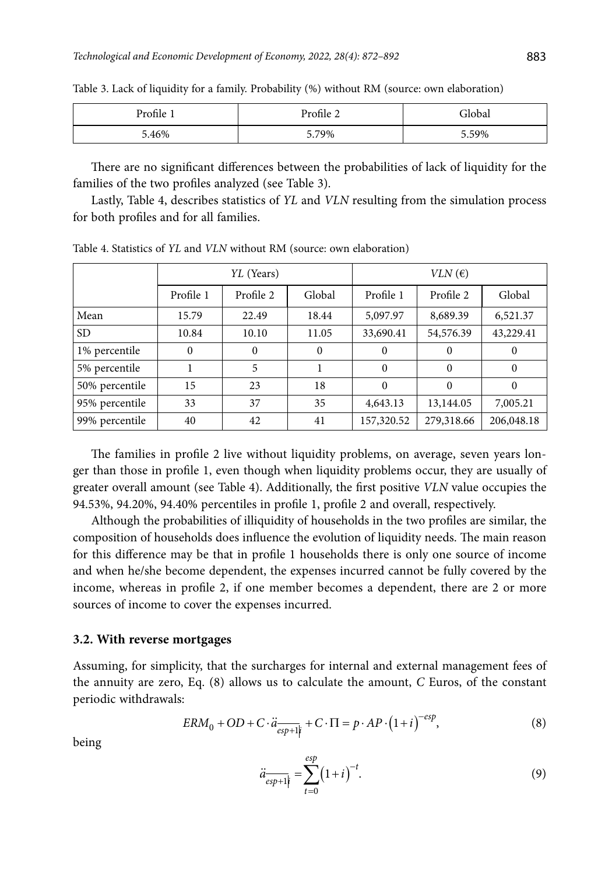| $^{\circ}$ rofile $\cdot$ | Profile $\angle$ | -lobal |
|---------------------------|------------------|--------|
| 5.46%                     | 5.79%            | 5.59%  |

<span id="page-11-0"></span>Table 3. Lack of liquidity for a family. Probability (%) without RM (source: own elaboration)

There are no significant differences between the probabilities of lack of liquidity for the families of the two profiles analyzed (see [Table 3](#page-11-0)).

Lastly, [Table](#page-11-1) 4, describes statistics of *YL* and *VLN* resulting from the simulation process for both profiles and for all families.

|                | YL (Years) |           | $VLN$ ( $\epsilon$ ) |            |            |            |
|----------------|------------|-----------|----------------------|------------|------------|------------|
|                | Profile 1  | Profile 2 | Global               | Profile 1  | Profile 2  | Global     |
| Mean           | 15.79      | 22.49     | 18.44                | 5,097.97   | 8,689.39   | 6,521.37   |
| SD.            | 10.84      | 10.10     | 11.05                | 33,690.41  | 54,576.39  | 43,229.41  |
| 1% percentile  | $\Omega$   | $\Omega$  | $\Omega$             | 0          | $\theta$   | 0          |
| 5% percentile  |            | 5         |                      | $\Omega$   | $\Omega$   | $\Omega$   |
| 50% percentile | 15         | 23        | 18                   | 0          | $\Omega$   | $\Omega$   |
| 95% percentile | 33         | 37        | 35                   | 4,643.13   | 13,144.05  | 7,005.21   |
| 99% percentile | 40         | 42        | 41                   | 157,320.52 | 279,318.66 | 206,048.18 |

<span id="page-11-1"></span>Table 4. Statistics of *YL* and *VLN* without RM (source: own elaboration)

The families in profile 2 live without liquidity problems, on average, seven years longer than those in profile 1, even though when liquidity problems occur, they are usually of greater overall amount (see [Table 4](#page-11-1)). Additionally, the first positive *VLN* value occupies the 94.53%, 94.20%, 94.40% percentiles in profile 1, profile 2 and overall, respectively.

Although the probabilities of illiquidity of households in the two profiles are similar, the composition of households does influence the evolution of liquidity needs. The main reason for this difference may be that in profile 1 households there is only one source of income and when he/she become dependent, the expenses incurred cannot be fully covered by the income, whereas in profile 2, if one member becomes a dependent, there are 2 or more sources of income to cover the expenses incurred.

#### **3.2. With reverse mortgages**

Assuming, for simplicity, that the surcharges for internal and external management fees of the annuity are zero, Eq. (8) allows us to calculate the amount, *C* Euros, of the constant periodic withdrawals:

$$
ERM_{0} + OD + C \cdot \ddot{a}_{\overline{esp+1|i}} + C \cdot \Pi = p \cdot AP \cdot (1+i)^{-esp},
$$
\n(8)

being

$$
\ddot{a}_{\overline{esp+1|i}} = \sum_{t=0}^{esp} (1+i)^{-t}.
$$
 (9)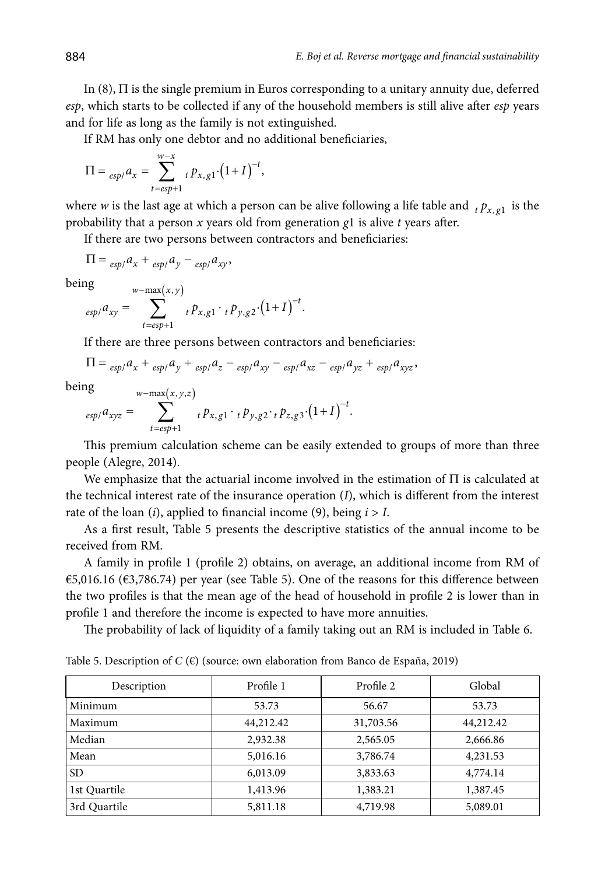In  $(8)$ ,  $\Pi$  is the single premium in Euros corresponding to a unitary annuity due, deferred *esp*, which starts to be collected if any of the household members is still alive after *esp* years and for life as long as the family is not extinguished.

If RM has only one debtor and no additional beneficiaries,

$$
\Pi = \sum_{e \le p} a_x = \sum_{t = e \le p+1}^{w-x} t p_{x, g1} (1+I)^{-t},
$$

where *w* is the last age at which a person can be alive following a life table and  $t p_{x, \sigma 1}$  is the probability that a person *x* years old from generation *g*1 is alive *t* years after.

If there are two persons between contractors and beneficiaries:

$$
\Pi = \frac{e^{t}}{e^{t}} \int_{-\infty}^{\infty} a_{x} + \frac{e^{t}}{e^{t}} \int_{-\infty}^{\infty} a_{y} \cdot \frac{1}{e^{t}} \int_{-\infty}^{\infty} a_{x} \cdot \frac{1}{e^{t}} \int_{-\infty}^{\infty} a_{x} \cdot \frac{1}{e^{t}} \cdot \frac{1}{e^{t}} \cdot \frac{1}{e^{t}} \cdot \frac{1}{e^{t}} \cdot \frac{1}{e^{t}} \cdot \frac{1}{e^{t}} \cdot \frac{1}{e^{t}} \cdot \frac{1}{e^{t}} \cdot \frac{1}{e^{t}} \cdot \frac{1}{e^{t}} \cdot \frac{1}{e^{t}} \cdot \frac{1}{e^{t}} \cdot \frac{1}{e^{t}} \cdot \frac{1}{e^{t}} \cdot \frac{1}{e^{t}} \cdot \frac{1}{e^{t}} \cdot \frac{1}{e^{t}} \cdot \frac{1}{e^{t}} \cdot \frac{1}{e^{t}} \cdot \frac{1}{e^{t}} \cdot \frac{1}{e^{t}} \cdot \frac{1}{e^{t}} \cdot \frac{1}{e^{t}} \cdot \frac{1}{e^{t}} \cdot \frac{1}{e^{t}} \cdot \frac{1}{e^{t}} \cdot \frac{1}{e^{t}} \cdot \frac{1}{e^{t}} \cdot \frac{1}{e^{t}} \cdot \frac{1}{e^{t}} \cdot \frac{1}{e^{t}} \cdot \frac{1}{e^{t}} \cdot \frac{1}{e^{t}} \cdot \frac{1}{e^{t}} \cdot \frac{1}{e^{t}} \cdot \frac{1}{e^{t}} \cdot \frac{1}{e^{t}} \cdot \frac{1}{e^{t}} \cdot \frac{1}{e^{t}} \cdot \frac{1}{e^{t}} \cdot \frac{1}{e^{t}} \cdot \frac{1}{e^{t}} \cdot \frac{1}{e^{t}} \cdot \frac{1}{e^{t}} \cdot \frac{1}{e^{t}} \cdot \frac{1}{e^{t}} \cdot \frac{1}{e^{t}} \cdot \frac{1}{e^{t}} \cdot \frac{1}{e^{t}} \cdot \frac{1}{e^{t}} \cdot \frac{1}{e^{t}} \cdot \frac{1}{e^{t}} \cdot \frac{1}{e^{t}} \cdot \frac{1}{e^{t}} \cdot \frac{1}{e^{t}} \cdot \frac{1}{e^{t}} \cdot \frac{1}{e^{t}} \cdot \frac{1}{e^{t}} \cdot \frac{1}{e
$$

being  

$$
\text{being} \sum_{e \le p/2} w - \max(x, y) \sum_{t = e \le p+1} t p_{x, g1} \cdot t p_{y, g2} \cdot (1+I)^{-t}.
$$

If there are three persons between contractors and beneficiaries:

$$
\Pi = \frac{e^{t}}{e^{t}} \left( \frac{a_{x}}{a_{y}} + \frac{a_{y}}{e^{t}} \right) \left( \frac{a_{y}}{a_{y}} - \frac{a_{z}}{e^{t}} \right) \left( \frac{a_{xy}}{a_{y}} - \frac{a_{z}}{e^{t}} \right) \left( \frac{a_{yz}}{a_{y}} + \frac{a_{z}}{e^{t}} \right) \left( \frac{a_{yz}}{a_{y}} \right).
$$

being  

$$
\text{using} \sum_{\text{esp}/a_{xyz}} = \sum_{t=\text{esp}+1}^{w-\text{max}(x,y,z)} t p_{x,g1} \cdot t p_{y,g2} \cdot t p_{z,g3} \cdot (1+I)^{-t}.
$$

This premium calculation scheme can be easily extended to groups of more than three people (Alegre, 2014).

We emphasize that the actuarial income involved in the estimation of  $\Pi$  is calculated at the technical interest rate of the insurance operation (*I*), which is different from the interest rate of the loan  $(i)$ , applied to financial income  $(9)$ , being  $i > I$ .

As a first result, [Table 5](#page-12-0) presents the descriptive statistics of the annual income to be received from RM.

A family in profile 1 (profile 2) obtains, on average, an additional income from RM of €5,016.16 (€3,786.74) per year (see [Table 5](#page-12-0)). One of the reasons for this difference between the two profiles is that the mean age of the head of household in profile 2 is lower than in profile 1 and therefore the income is expected to have more annuities.

The probability of lack of liquidity of a family taking out an RM is included in [Table](#page-13-0) 6.

| Description  | Profile 1 | Profile 2 | Global    |
|--------------|-----------|-----------|-----------|
| Minimum      | 53.73     | 56.67     | 53.73     |
| Maximum      | 44,212.42 | 31,703.56 | 44,212.42 |
| Median       | 2,932.38  | 2,565.05  | 2,666.86  |
| Mean         | 5,016.16  | 3,786.74  | 4,231.53  |
| <b>SD</b>    | 6,013.09  | 3,833.63  | 4,774.14  |
| 1st Quartile | 1,413.96  | 1,383.21  | 1,387.45  |
| 3rd Quartile | 5,811.18  | 4,719.98  | 5,089.01  |

<span id="page-12-0"></span>Table 5. Description of *C* (€) (source: own elaboration from Banco de España, 2019)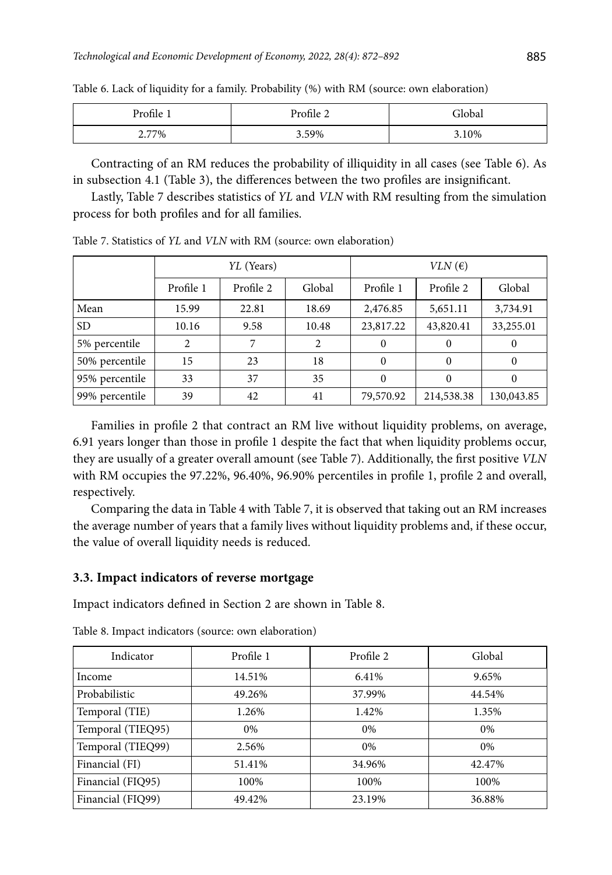| $\sim$ 1<br>$^{\circ}$ rofile $\cdot$ | Profile | -lobar |
|---------------------------------------|---------|--------|
| 2.77%                                 | 3.59%   | 3.10%  |

<span id="page-13-0"></span>Table 6. Lack of liquidity for a family. Probability (%) with RM (source: own elaboration)

Contracting of an RM reduces the probability of illiquidity in all cases (see [Table](#page-13-0) 6). As in subsection 4.1 ([Table 3](#page-11-0)), the differences between the two profiles are insignificant.

Lastly, [Table](#page-13-1) 7 describes statistics of *YL* and *VLN* with RM resulting from the simulation process for both profiles and for all families.

|                | YL (Years) |           | $VLN$ ( $\epsilon$ ) |           |            |            |
|----------------|------------|-----------|----------------------|-----------|------------|------------|
|                | Profile 1  | Profile 2 | Global               | Profile 1 | Profile 2  | Global     |
| Mean           | 15.99      | 22.81     | 18.69                | 2,476.85  | 5,651.11   | 3,734.91   |
| SD.            | 10.16      | 9.58      | 10.48                | 23,817.22 | 43,820.41  | 33,255.01  |
| 5% percentile  | 2          | 7         | $\mathfrak{D}$       | $\Omega$  | $\Omega$   | $\theta$   |
| 50% percentile | 15         | 23        | 18                   | $\Omega$  | $\Omega$   | $\Omega$   |
| 95% percentile | 33         | 37        | 35                   | $\Omega$  | $\Omega$   | $\Omega$   |
| 99% percentile | 39         | 42        | 41                   | 79,570.92 | 214,538.38 | 130,043.85 |

<span id="page-13-1"></span>Table 7. Statistics of *YL* and *VLN* with RM (source: own elaboration)

Families in profile 2 that contract an RM live without liquidity problems, on average, 6.91 years longer than those in profile 1 despite the fact that when liquidity problems occur, they are usually of a greater overall amount (see [Table 7](#page-13-1)). Additionally, the first positive *VLN* with RM occupies the 97.22%, 96.40%, 96.90% percentiles in profile 1, profile 2 and overall, respectively.

Comparing the data in [Table](#page-11-1) 4 with [Table](#page-13-1) 7, it is observed that taking out an RM increases the average number of years that a family lives without liquidity problems and, if these occur, the value of overall liquidity needs is reduced.

### **3.3. Impact indicators of reverse mortgage**

Impact indicators defined in Section 2 are shown in [Table](#page-13-2) 8.

| Indicator         | Profile 1 | Profile 2 | Global |
|-------------------|-----------|-----------|--------|
| Income            | 14.51%    | 6.41%     | 9.65%  |
| Probabilistic     | 49.26%    | 37.99%    | 44.54% |
| Temporal (TIE)    | 1.26%     | 1.42%     | 1.35%  |
| Temporal (TIEQ95) | $0\%$     | 0%        | 0%     |
| Temporal (TIEQ99) | 2.56%     | 0%        | 0%     |
| Financial (FI)    | 51.41%    | 34.96%    | 42.47% |
| Financial (FIQ95) | 100%      | 100%      | 100%   |
| Financial (FIQ99) | 49.42%    | 23.19%    | 36.88% |

<span id="page-13-2"></span>Table 8. Impact indicators (source: own elaboration)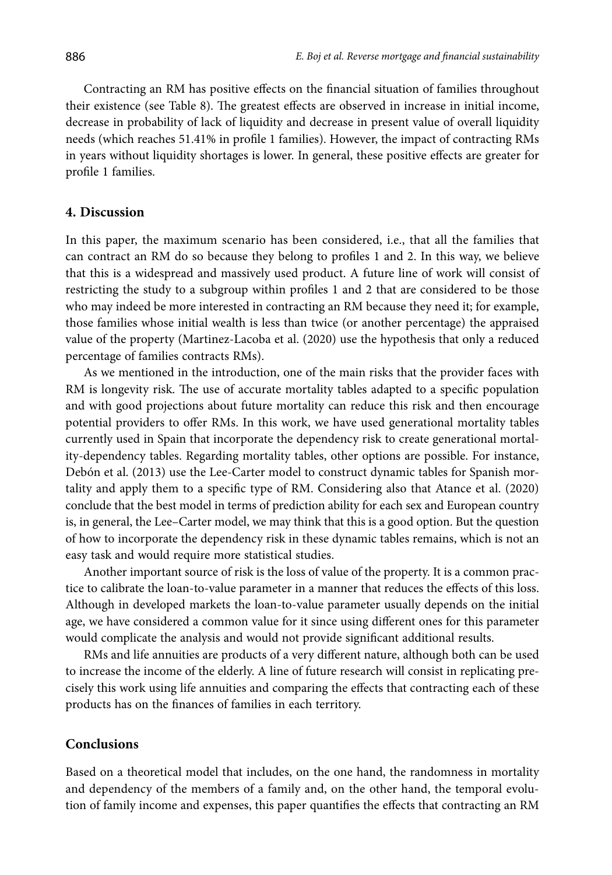Contracting an RM has positive effects on the financial situation of families throughout their existence (see [Table 8](#page-13-2)). The greatest effects are observed in increase in initial income, decrease in probability of lack of liquidity and decrease in present value of overall liquidity needs (which reaches 51.41% in profile 1 families). However, the impact of contracting RMs in years without liquidity shortages is lower. In general, these positive effects are greater for profile 1 families.

### **4. Discussion**

In this paper, the maximum scenario has been considered, i.e., that all the families that can contract an RM do so because they belong to profiles 1 and 2. In this way, we believe that this is a widespread and massively used product. A future line of work will consist of restricting the study to a subgroup within profiles 1 and 2 that are considered to be those who may indeed be more interested in contracting an RM because they need it; for example, those families whose initial wealth is less than twice (or another percentage) the appraised value of the property (Martinez-Lacoba et al. (2020) use the hypothesis that only a reduced percentage of families contracts RMs).

As we mentioned in the introduction, one of the main risks that the provider faces with RM is longevity risk. The use of accurate mortality tables adapted to a specific population and with good projections about future mortality can reduce this risk and then encourage potential providers to offer RMs. In this work, we have used generational mortality tables currently used in Spain that incorporate the dependency risk to create generational mortality-dependency tables. Regarding mortality tables, other options are possible. For instance, Debón et al. (2013) use the Lee-Carter model to construct dynamic tables for Spanish mortality and apply them to a specific type of RM. Considering also that Atance et al. (2020) conclude that the best model in terms of prediction ability for each sex and European country is, in general, the Lee–Carter model, we may think that this is a good option. But the question of how to incorporate the dependency risk in these dynamic tables remains, which is not an easy task and would require more statistical studies.

Another important source of risk is the loss of value of the property. It is a common practice to calibrate the loan-to-value parameter in a manner that reduces the effects of this loss. Although in developed markets the loan-to-value parameter usually depends on the initial age, we have considered a common value for it since using different ones for this parameter would complicate the analysis and would not provide significant additional results.

RMs and life annuities are products of a very different nature, although both can be used to increase the income of the elderly. A line of future research will consist in replicating precisely this work using life annuities and comparing the effects that contracting each of these products has on the finances of families in each territory.

#### **Conclusions**

Based on a theoretical model that includes, on the one hand, the randomness in mortality and dependency of the members of a family and, on the other hand, the temporal evolution of family income and expenses, this paper quantifies the effects that contracting an RM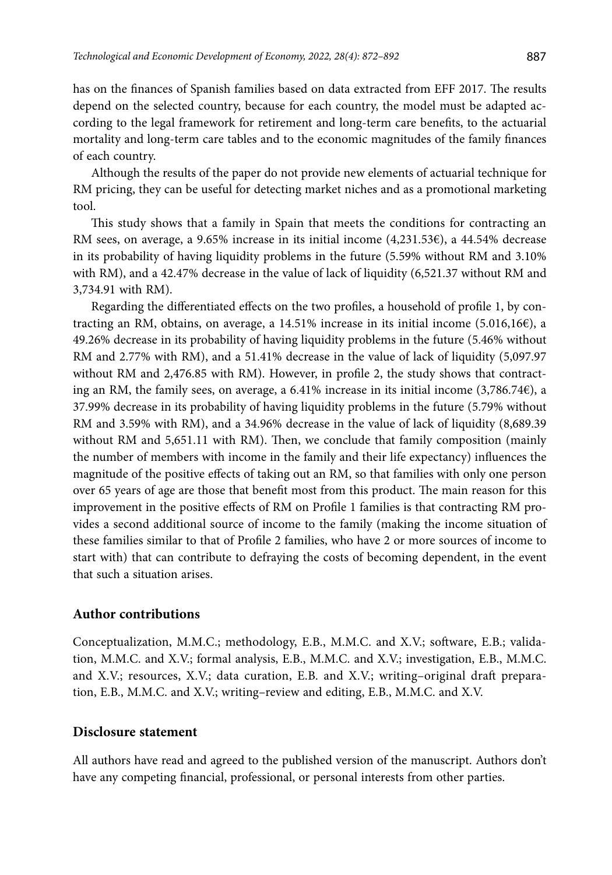has on the finances of Spanish families based on data extracted from EFF 2017. The results depend on the selected country, because for each country, the model must be adapted according to the legal framework for retirement and long-term care benefits, to the actuarial mortality and long-term care tables and to the economic magnitudes of the family finances of each country.

Although the results of the paper do not provide new elements of actuarial technique for RM pricing, they can be useful for detecting market niches and as a promotional marketing tool.

This study shows that a family in Spain that meets the conditions for contracting an RM sees, on average, a 9.65% increase in its initial income (4,231.53€), a 44.54% decrease in its probability of having liquidity problems in the future (5.59% without RM and 3.10% with RM), and a 42.47% decrease in the value of lack of liquidity (6,521.37 without RM and 3,734.91 with RM).

Regarding the differentiated effects on the two profiles, a household of profile 1, by contracting an RM, obtains, on average, a 14.51% increase in its initial income (5.016,16€), a 49.26% decrease in its probability of having liquidity problems in the future (5.46% without RM and 2.77% with RM), and a 51.41% decrease in the value of lack of liquidity (5,097.97 without RM and 2,476.85 with RM). However, in profile 2, the study shows that contracting an RM, the family sees, on average, a 6.41% increase in its initial income  $(3,786.74e)$ , a 37.99% decrease in its probability of having liquidity problems in the future (5.79% without RM and 3.59% with RM), and a 34.96% decrease in the value of lack of liquidity (8,689.39 without RM and 5,651.11 with RM). Then, we conclude that family composition (mainly the number of members with income in the family and their life expectancy) influences the magnitude of the positive effects of taking out an RM, so that families with only one person over 65 years of age are those that benefit most from this product. The main reason for this improvement in the positive effects of RM on Profile 1 families is that contracting RM provides a second additional source of income to the family (making the income situation of these families similar to that of Profile 2 families, who have 2 or more sources of income to start with) that can contribute to defraying the costs of becoming dependent, in the event that such a situation arises.

### **Author contributions**

Conceptualization, M.M.C.; methodology, E.B., M.M.C. and X.V.; software, E.B.; validation, M.M.C. and X.V.; formal analysis, E.B., M.M.C. and X.V.; investigation, E.B., M.M.C. and X.V.; resources, X.V.; data curation, E.B. and X.V.; writing–original draft preparation, E.B., M.M.C. and X.V.; writing–review and editing, E.B., M.M.C. and X.V.

### **Disclosure statement**

All authors have read and agreed to the published version of the manuscript. Authors don't have any competing financial, professional, or personal interests from other parties.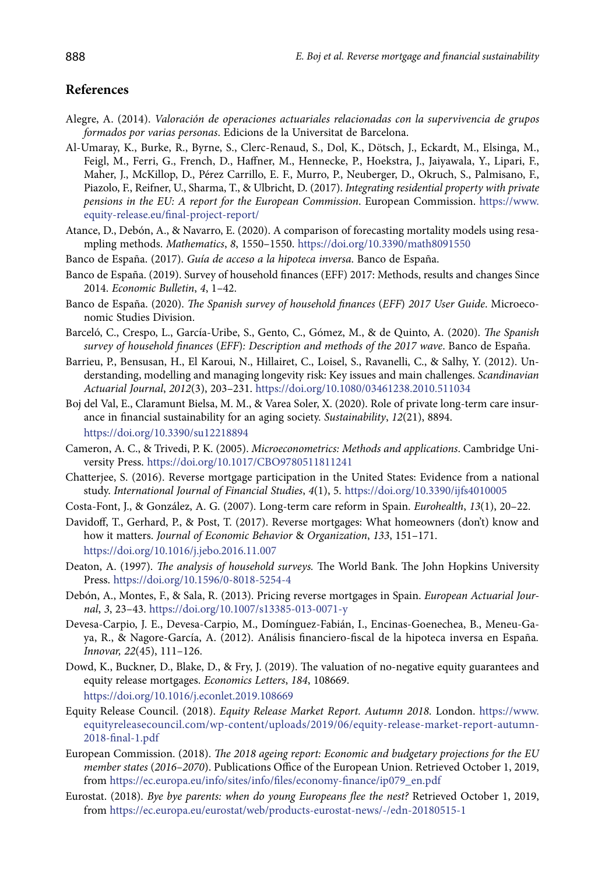### **References**

- Alegre, A. (2014). *Valoración de operaciones actuariales relacionadas con la supervivencia de grupos formados por varias personas*. Edicions de la Universitat de Barcelona.
- Al-Umaray, K., Burke, R., Byrne, S., Clerc-Renaud, S., Dol, K., Dötsch, J., Eckardt, M., Elsinga, M., Feigl, M., Ferri, G., French, D., Haffner, M., Hennecke, P., Hoekstra, J., Jaiyawala, Y., Lipari, F., Maher, J., McKillop, D., Pérez Carrillo, E. F., Murro, P., Neuberger, D., Okruch, S., Palmisano, F., Piazolo, F., Reifner, U., Sharma, T., & Ulbricht, D. (2017). *Integrating residential property with private pensions in the EU: A report for the European Commission*. European Commission. [https://www.](https://www.equity-release.eu/final-project-report/) [equity-release.eu/final-project-report/](https://www.equity-release.eu/final-project-report/)
- Atance, D., Debón, A., & Navarro, E. (2020). A comparison of forecasting mortality models using resampling methods. *Mathematics*, *8*, 1550–1550. <https://doi.org/10.3390/math8091550>
- Banco de España. (2017). *Guía de acceso a la hipoteca inversa*. Banco de España.
- Banco de España. (2019). Survey of household finances (EFF) 2017: Methods, results and changes Since 2014. *Economic Bulletin*, *4*, 1–42.
- Banco de España. (2020). *The Spanish survey of household finances* (*EFF*) *2017 User Guide*. Microeconomic Studies Division.
- Barceló, C., Crespo, L., García-Uribe, S., Gento, C., Gómez, M., & de Quinto, A. (2020). *The Spanish survey of household finances* (*EFF*)*: Description and methods of the 2017 wave*. Banco de España.
- Barrieu, P., Bensusan, H., El Karoui, N., Hillairet, C., Loisel, S., Ravanelli, C., & Salhy, Y. (2012). Understanding, modelling and managing longevity risk: Key issues and main challenges. *Scandinavian Actuarial Journal*, *2012*(3), 203–231. <https://doi.org/10.1080/03461238.2010.511034>
- Boj del Val, E., Claramunt Bielsa, M. M., & Varea Soler, X. (2020). Role of private long-term care insurance in financial sustainability for an aging society. *Sustainability*, *12*(21), 8894. <https://doi.org/10.3390/su12218894>
- Cameron, A. C., & Trivedi, P. K. (2005). *Microeconometrics: Methods and applications*. Cambridge University Press.<https://doi.org/10.1017/CBO9780511811241>
- Chatterjee, S. (2016). Reverse mortgage participation in the United States: Evidence from a national study. *International Journal of Financial Studies*, *4*(1), 5. <https://doi.org/10.3390/ijfs4010005>
- Costa-Font, J., & González, A. G. (2007). Long-term care reform in Spain. *Eurohealth*, *13*(1), 20–22.
- Davidoff, T., Gerhard, P., & Post, T. (2017). Reverse mortgages: What homeowners (don't) know and how it matters. *Journal of Economic Behavior* & *Organization*, *133*, 151–171. <https://doi.org/10.1016/j.jebo.2016.11.007>
- Deaton, A. (1997). *The analysis of household surveys.* The World Bank. The John Hopkins University Press. <https://doi.org/10.1596/0-8018-5254-4>
- Debón, A., Montes, F., & Sala, R. (2013). Pricing reverse mortgages in Spain. *European Actuarial Journal*, *3*, 23–43. <https://doi.org/10.1007/s13385-013-0071-y>
- Devesa-Carpio, J. E., Devesa-Carpio, M., Domínguez-Fabián, I., Encinas-Goenechea, B., Meneu-Gaya, R., & Nagore-García, A. (2012). Análisis financiero-fiscal de la hipoteca inversa en España*. Innovar, 22*(45), 111–126.
- Dowd, K., Buckner, D., Blake, D., & Fry, J. (2019). The valuation of no-negative equity guarantees and equity release mortgages. *Economics Letters*, *184*, 108669. <https://doi.org/10.1016/j.econlet.2019.108669>
- Equity Release Council. (2018). *Equity Release Market Report. Autumn 2018.* London. [https://www.](https://www.equityreleasecouncil.com/wp-content/uploads/2019/06/equity-release-market-report-autumn-2018-final-1.pdf) [equityreleasecouncil.com/wp-content/uploads/2019/06/equity-release-market-report-autumn-](https://www.equityreleasecouncil.com/wp-content/uploads/2019/06/equity-release-market-report-autumn-2018-final-1.pdf)[2018-final-1.pdf](https://www.equityreleasecouncil.com/wp-content/uploads/2019/06/equity-release-market-report-autumn-2018-final-1.pdf)
- European Commission. (2018). *The 2018 ageing report: Economic and budgetary projections for the EU member states* (*2016–2070*). Publications Office of the European Union. Retrieved October 1, 2019, from [https://ec.europa.eu/info/sites/info/files/economy-finance/ip079\\_en.pdf](https://ec.europa.eu/info/sites/info/files/economy-finance/ip079_en.pdf )
- Eurostat. (2018). *Bye bye parents: when do young Europeans flee the nest?* Retrieved October 1, 2019, from<https://ec.europa.eu/eurostat/web/products-eurostat-news/-/edn-20180515-1>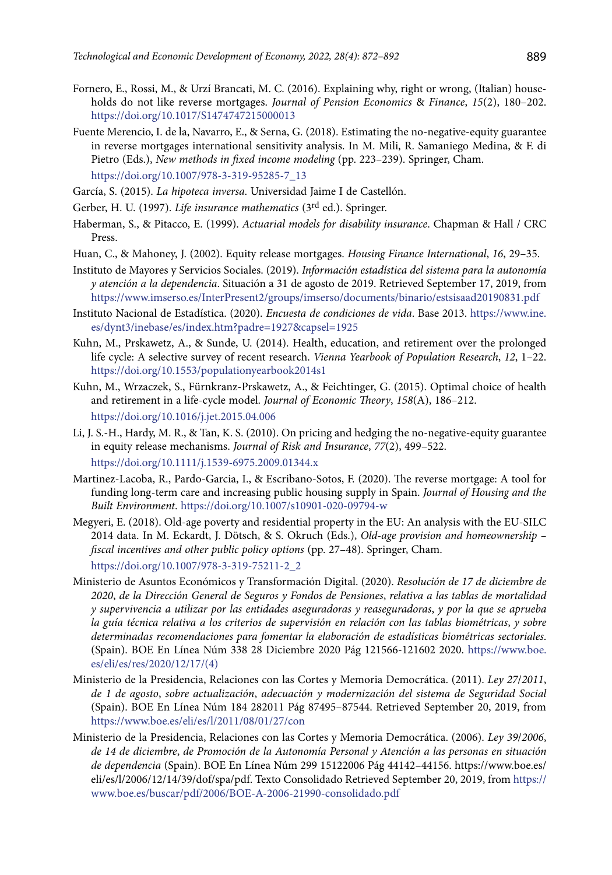- Fornero, E., Rossi, M., & Urzí Brancati, M. C. (2016). Explaining why, right or wrong, (Italian) households do not like reverse mortgages. *Journal of Pension Economics* & *Finance*, *15*(2), 180–202. <https://doi.org/10.1017/S1474747215000013>
- Fuente Merencio, I. de la, Navarro, E., & Serna, G. (2018). Estimating the no-negative-equity guarantee in reverse mortgages international sensitivity analysis. In M. Mili, R. Samaniego Medina, & F. di Pietro (Eds.), *New methods in fixed income modeling* (pp. 223–239). Springer, Cham. [https://doi.org/10.1007/978-3-319-95285-7\\_13](https://doi.org/10.1007/978-3-319-95285-7_13)
- García, S. (2015). *La hipoteca inversa*. Universidad Jaime I de Castellón.
- Gerber, H. U. (1997). *Life insurance mathematics* (3rd ed.). Springer.
- Haberman, S., & Pitacco, E. (1999). *Actuarial models for disability insurance*. Chapman & Hall / CRC **Dross**
- Huan, C., & Mahoney, J. (2002). Equity release mortgages. *Housing Finance International*, *16*, 29–35.
- Instituto de Mayores y Servicios Sociales. (2019). *Información estadística del sistema para la autonomía y atención a la dependencia*. Situación a 31 de agosto de 2019. Retrieved September 17, 2019, from <https://www.imserso.es/InterPresent2/groups/imserso/documents/binario/estsisaad20190831.pdf>
- Instituto Nacional de Estadística. (2020). *Encuesta de condiciones de vida*. Base 2013. [https://www.ine.](https://www.ine.es/dynt3/inebase/es/index.htm?padre=1927&capsel=1925) [es/dynt3/inebase/es/index.htm?padre=1927&capsel=1925](https://www.ine.es/dynt3/inebase/es/index.htm?padre=1927&capsel=1925)
- Kuhn, M., Prskawetz, A., & Sunde, U. (2014). Health, education, and retirement over the prolonged life cycle: A selective survey of recent research. *Vienna Yearbook of Population Research*, *12*, 1–22. <https://doi.org/10.1553/populationyearbook2014s1>
- Kuhn, M., Wrzaczek, S., Fürnkranz-Prskawetz, A., & Feichtinger, G. (2015). Optimal choice of health and retirement in a life-cycle model. *Journal of Economic Theory*, *158*(A), 186–212. https://doi.org/10.1016/j.jet.2015.04.006
- Li, J. S.-H., Hardy, M. R., & Tan, K. S. (2010). On pricing and hedging the no-negative-equity guarantee in equity release mechanisms. *Journal of Risk and Insurance*, *77*(2), 499–522. <https://doi.org/10.1111/j.1539-6975.2009.01344.x>
- Martinez-Lacoba, R., Pardo-Garcia, I., & Escribano-Sotos, F. (2020). The reverse mortgage: A tool for funding long-term care and increasing public housing supply in Spain. *Journal of Housing and the Built Environment*. <https://doi.org/10.1007/s10901-020-09794-w>
- Megyeri, E. (2018). Old-age poverty and residential property in the EU: An analysis with the EU-SILC 2014 data. In M. Eckardt, J. Dötsch, & S. Okruch (Eds.), *Old-age provision and homeownership – fiscal incentives and other public policy options* (pp. 27–48). Springer, Cham. [https://doi.org/10.1007/978-3-319-75211-2\\_2](https://doi.org/10.1007/978-3-319-75211-2_2)
- Ministerio de Asuntos Económicos y Transformación Digital. (2020). *Resolución de 17 de diciembre de 2020*, *de la Dirección General de Seguros y Fondos de Pensiones*, *relativa a las tablas de mortalidad y supervivencia a utilizar por las entidades aseguradoras y reaseguradoras*, *y por la que se aprueba la guía técnica relativa a los criterios de supervisión en relación con las tablas biométricas*, *y sobre determinadas recomendaciones para fomentar la elaboración de estadísticas biométricas sectoriales*. (Spain). BOE En Línea Núm 338 28 Diciembre 2020 Pág 121566-121602 2020. [https://www.boe.](https://www.boe.es/eli/es/res/2020/12/17/(4)) [es/eli/es/res/2020/12/17/\(4\)](https://www.boe.es/eli/es/res/2020/12/17/(4))
- Ministerio de la Presidencia, Relaciones con las Cortes y Memoria Democrática. (2011). *Ley 27*/*2011*, *de 1 de agosto*, *sobre actualización*, *adecuación y modernización del sistema de Seguridad Social* (Spain). BOE En Línea Núm 184 282011 Pág 87495–87544. Retrieved September 20, 2019, from <https://www.boe.es/eli/es/l/2011/08/01/27/con>
- Ministerio de la Presidencia, Relaciones con las Cortes y Memoria Democrática. (2006). *Ley 39*/*2006*, *de 14 de diciembre*, *de Promoción de la Autonomía Personal y Atención a las personas en situación de dependencia* (Spain). BOE En Línea Núm 299 15122006 Pág 44142–44156. https://www.boe.es/ eli/es/l/2006/12/14/39/dof/spa/pdf. Texto Consolidado Retrieved September 20, 2019, from [https://](https://www.boe.es/buscar/pdf/2006/BOE-A-2006-21990-consolidado.pdf ) [www.boe.es/buscar/pdf/2006/BOE-A-2006-21990-consolidado.pdf](https://www.boe.es/buscar/pdf/2006/BOE-A-2006-21990-consolidado.pdf )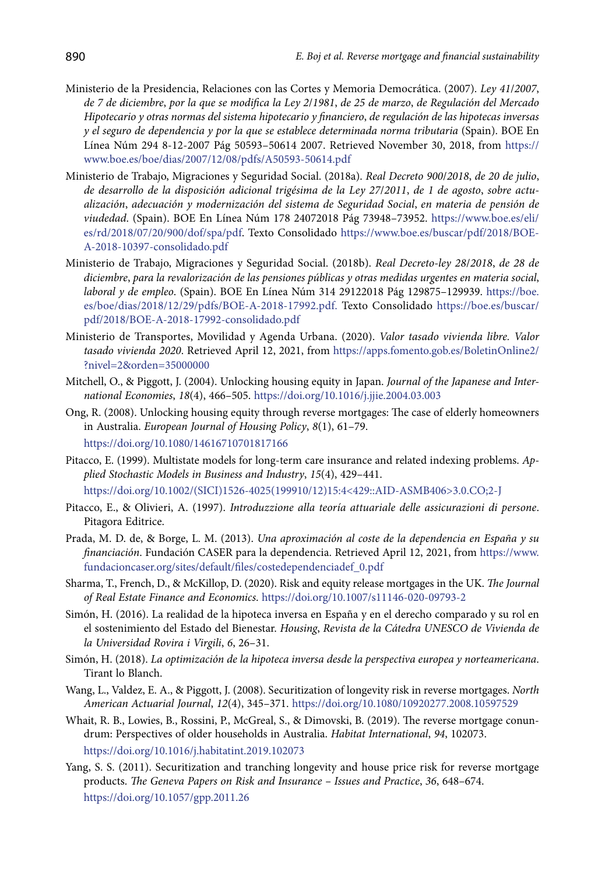- Ministerio de la Presidencia, Relaciones con las Cortes y Memoria Democrática. (2007). *Ley 41*/*2007*, *de 7 de diciembre*, *por la que se modifica la Ley 2*/*1981*, *de 25 de marzo*, *de Regulación del Mercado Hipotecario y otras normas del sistema hipotecario y financiero*, *de regulación de las hipotecas inversas y el seguro de dependencia y por la que se establece determinada norma tributaria* (Spain). BOE En Línea Núm 294 8-12-2007 Pág 50593–50614 2007. Retrieved November 30, 2018, from [https://](https://www.boe.es/boe/dias/2007/12/08/pdfs/A50593-50614.pdf ) [www.boe.es/boe/dias/2007/12/08/pdfs/A50593-50614.pdf](https://www.boe.es/boe/dias/2007/12/08/pdfs/A50593-50614.pdf )
- Ministerio de Trabajo, Migraciones y Seguridad Social. (2018a). *Real Decreto 900*/*2018*, *de 20 de julio*, *de desarrollo de la disposición adicional trigésima de la Ley 27*/*2011*, *de 1 de agosto*, *sobre actualización*, *adecuación y modernización del sistema de Seguridad Social*, *en materia de pensión de viudedad*. (Spain). BOE En Línea Núm 178 24072018 Pág 73948–73952. [https://www.boe.es/eli/](https://www.boe.es/eli/es/rd/2018/07/20/900/dof/spa/pdf) [es/rd/2018/07/20/900/dof/spa/pdf](https://www.boe.es/eli/es/rd/2018/07/20/900/dof/spa/pdf). Texto Consolidado [https://www.boe.es/buscar/pdf/2018/BOE-](https://www.boe.es/buscar/pdf/2018/BOE-A-2018-10397-consolidado.pdf)[A-2018-10397-consolidado.pdf](https://www.boe.es/buscar/pdf/2018/BOE-A-2018-10397-consolidado.pdf)
- Ministerio de Trabajo, Migraciones y Seguridad Social. (2018b). *Real Decreto-ley 28*/*2018*, *de 28 de diciembre*, *para la revalorización de las pensiones públicas y otras medidas urgentes en materia social*, *laboral y de empleo*. (Spain). BOE En Línea Núm 314 29122018 Pág 129875–129939. [https://boe.](https://boe.es/boe/dias/2018/12/29/pdfs/BOE-A-2018-17992.pdf.) [es/boe/dias/2018/12/29/pdfs/BOE-A-2018-17992.pdf.](https://boe.es/boe/dias/2018/12/29/pdfs/BOE-A-2018-17992.pdf.) Texto Consolidado [https://boe.es/buscar/](https://boe.es/buscar/pdf/2018/BOE-A-2018-17992-consolidado.pdf ) [pdf/2018/BOE-A-2018-17992-consolidado.pdf](https://boe.es/buscar/pdf/2018/BOE-A-2018-17992-consolidado.pdf )
- Ministerio de Transportes, Movilidad y Agenda Urbana. (2020). *Valor tasado vivienda libre. Valor tasado vivienda 2020*. Retrieved April 12, 2021, from [https://apps.fomento.gob.es/BoletinOnline2/](https://apps.fomento.gob.es/BoletinOnline2/?nivel=2&orden=35000000) [?nivel=2&orden=35000000](https://apps.fomento.gob.es/BoletinOnline2/?nivel=2&orden=35000000)
- Mitchell, O., & Piggott, J. (2004). Unlocking housing equity in Japan. *Journal of the Japanese and International Economies*, *18*(4), 466–505. <https://doi.org/10.1016/j.jjie.2004.03.003>
- Ong, R. (2008). Unlocking housing equity through reverse mortgages: The case of elderly homeowners in Australia. *European Journal of Housing Policy*, *8*(1), 61–79. <https://doi.org/10.1080/14616710701817166>
- Pitacco, E. (1999). Multistate models for long-term care insurance and related indexing problems. *Applied Stochastic Models in Business and Industry*, *15*(4), 429–441. [https://doi.org/10.1002/\(SICI\)1526-4025\(199910/12\)15:4<429::AID-ASMB406>3.0.CO;2-J](https://doi.org/10.1002/(SICI)1526-4025(199910/12)15:4%3C429::AID-ASMB406%3E3.0.CO;2-J)
- Pitacco, E., & Olivieri, A. (1997). *Introduzzione alla teoría attuariale delle assicurazioni di persone*. Pitagora Editrice.
- Prada, M. D. de, & Borge, L. M. (2013). *Una aproximación al coste de la dependencia en España y su financiación*. Fundación CASER para la dependencia. Retrieved April 12, 2021, from [https://www.](https://www.fundacioncaser.org/sites/default/files/costedependenciadef_0.pdf) [fundacioncaser.org/sites/default/files/costedependenciadef\\_0.pdf](https://www.fundacioncaser.org/sites/default/files/costedependenciadef_0.pdf)
- Sharma, T., French, D., & McKillop, D. (2020). Risk and equity release mortgages in the UK. *The Journal of Real Estate Finance and Economics*. <https://doi.org/10.1007/s11146-020-09793-2>
- Simón, H. (2016). La realidad de la hipoteca inversa en España y en el derecho comparado y su rol en el sostenimiento del Estado del Bienestar. *Housing*, *Revista de la Cátedra UNESCO de Vivienda de la Universidad Rovira i Virgili*, *6*, 26–31.
- Simón, H. (2018). *La optimización de la hipoteca inversa desde la perspectiva europea y norteamericana*. Tirant lo Blanch.
- Wang, L., Valdez, E. A., & Piggott, J. (2008). Securitization of longevity risk in reverse mortgages. *North American Actuarial Journal*, *12*(4), 345–371. <https://doi.org/10.1080/10920277.2008.10597529>
- Whait, R. B., Lowies, B., Rossini, P., McGreal, S., & Dimovski, B. (2019). The reverse mortgage conundrum: Perspectives of older households in Australia. *Habitat International*, *94*, 102073. <https://doi.org/10.1016/j.habitatint.2019.102073>
- Yang, S. S. (2011). Securitization and tranching longevity and house price risk for reverse mortgage products. *The Geneva Papers on Risk and Insurance – Issues and Practice*, *36*, 648–674. <https://doi.org/10.1057/gpp.2011.26>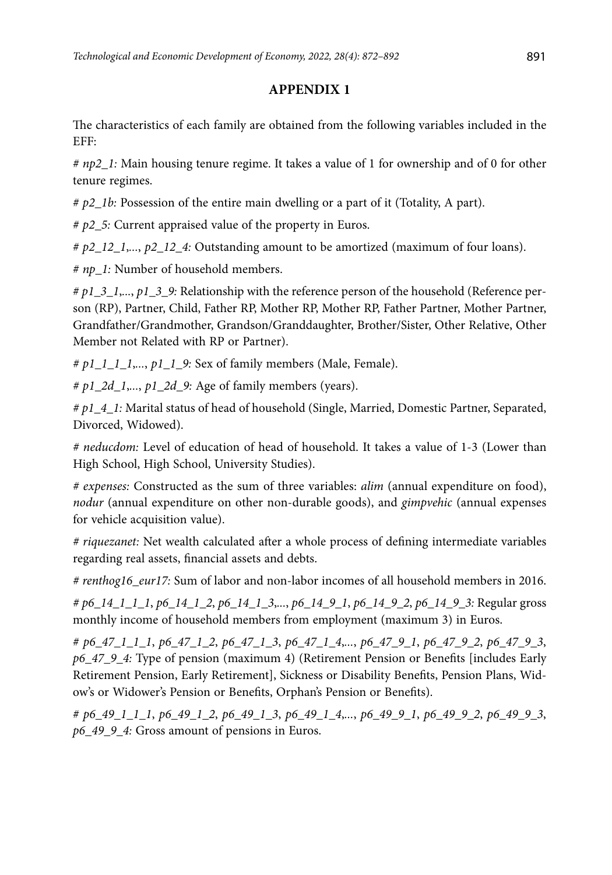# **APPENDIX 1**

The characteristics of each family are obtained from the following variables included in the EFF:

*# np2\_1:* Main housing tenure regime. It takes a value of 1 for ownership and of 0 for other tenure regimes.

*# p2\_1b:* Possession of the entire main dwelling or a part of it (Totality, A part).

*# p2\_5:* Current appraised value of the property in Euros.

*# p2\_12\_1*,*...*, *p2\_12\_4:* Outstanding amount to be amortized (maximum of four loans).

*# np\_1:* Number of household members.

*# p1\_3\_1*,*...*, *p1\_3\_9:* Relationship with the reference person of the household (Reference person (RP), Partner, Child, Father RP, Mother RP, Mother RP, Father Partner, Mother Partner, Grandfather/Grandmother, Grandson/Granddaughter, Brother/Sister, Other Relative, Other Member not Related with RP or Partner).

*# p1\_1\_1\_1*,*...*, *p1\_1\_9:* Sex of family members (Male, Female).

*# p1\_2d\_1*,*...*, *p1\_2d\_9:* Age of family members (years).

*# p1\_4\_1:* Marital status of head of household (Single, Married, Domestic Partner, Separated, Divorced, Widowed).

*# neducdom:* Level of education of head of household. It takes a value of 1-3 (Lower than High School, High School, University Studies).

*# expenses:* Constructed as the sum of three variables: *alim* (annual expenditure on food), *nodur* (annual expenditure on other non-durable goods), and *gimpvehic* (annual expenses for vehicle acquisition value).

*# riquezanet:* Net wealth calculated after a whole process of defining intermediate variables regarding real assets, financial assets and debts.

*# renthog16\_eur17:* Sum of labor and non-labor incomes of all household members in 2016.

*# p6\_14\_1\_1\_1*, *p6\_14\_1\_2*, *p6\_14\_1\_3*,*...*, *p6\_14\_9\_1*, *p6\_14\_9\_2*, *p6\_14\_9\_3:* Regular gross monthly income of household members from employment (maximum 3) in Euros.

*# p6\_47\_1\_1\_1*, *p6\_47\_1\_2*, *p6\_47\_1\_3*, *p6\_47\_1\_4*,*...*, *p6\_47\_9\_1*, *p6\_47\_9\_2*, *p6\_47\_9\_3*, *p6\_47\_9\_4:* Type of pension (maximum 4) (Retirement Pension or Benefits [includes Early Retirement Pension, Early Retirement], Sickness or Disability Benefits, Pension Plans, Widow's or Widower's Pension or Benefits, Orphan's Pension or Benefits).

*# p6\_49\_1\_1\_1*, *p6\_49\_1\_2*, *p6\_49\_1\_3*, *p6\_49\_1\_4*,*...*, *p6\_49\_9\_1*, *p6\_49\_9\_2*, *p6\_49\_9\_3*, *p6\_49\_9\_4:* Gross amount of pensions in Euros.